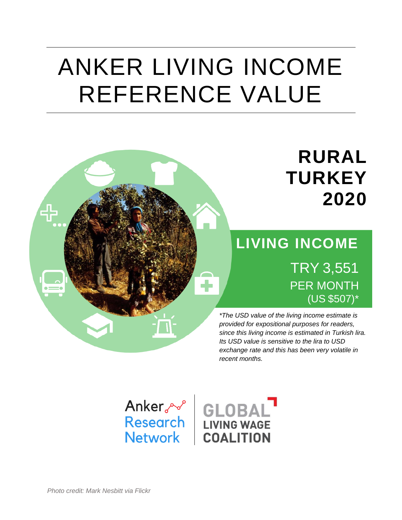# ANKER LIVING INCOME REFERENCE VALUE

# **RURAL TURKEY 2020**

## **LIVING INCOME** TRY 3,551 PER MONTH (US \$507)\*

*\*The USD value of the living income estimate is provided for expositional purposes for readers, since this living income is estimated in Turkish lira. Its USD value is sensitive to the lira to USD exchange rate and this has been very volatile in recent months.*



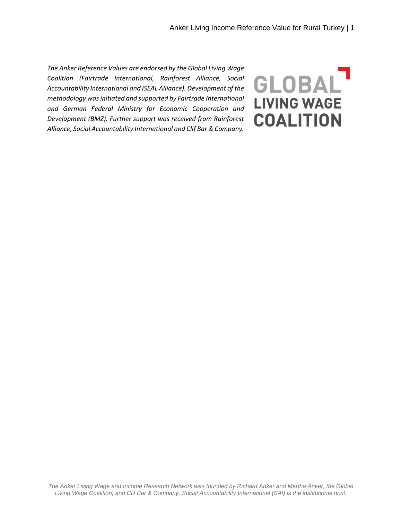*The Anker Reference Values are endorsed by the Global Living Wage Coalition (Fairtrade International, Rainforest Alliance, Social Accountability International and ISEAL Alliance). Development of the methodology was initiated and supported by Fairtrade International and German Federal Ministry for Economic Cooperation and Development (BMZ). Further support was received from Rainforest Alliance, Social Accountability International and Clif Bar & Company.*

GLOBAL **LIVING WAGE COALITION**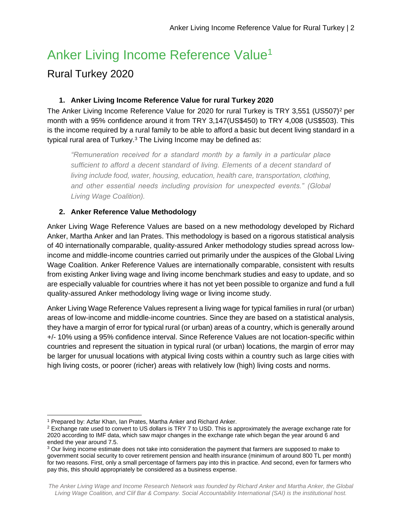## Anker Living Income Reference Value<sup>1</sup>

#### Rural Turkey 2020

#### **1. Anker Living Income Reference Value for rural Turkey 2020**

The Anker Living Income Reference Value for 2020 for rural Turkey is TRY 3,551 (US507)<sup>2</sup> per month with a 95% confidence around it from TRY 3,147(US\$450) to TRY 4,008 (US\$503). This is the income required by a rural family to be able to afford a basic but decent living standard in a typical rural area of Turkey.<sup>3</sup> The Living Income may be defined as:

*"Remuneration received for a standard month by a family in a particular place sufficient to afford a decent standard of living. Elements of a decent standard of living include food, water, housing, education, health care, transportation, clothing, and other essential needs including provision for unexpected events." (Global Living Wage Coalition).* 

#### **2. Anker Reference Value Methodology**

Anker Living Wage Reference Values are based on a new methodology developed by Richard Anker, Martha Anker and Ian Prates. This methodology is based on a rigorous statistical analysis of 40 internationally comparable, quality-assured Anker methodology studies spread across lowincome and middle-income countries carried out primarily under the auspices of the Global Living Wage Coalition. Anker Reference Values are internationally comparable, consistent with results from existing Anker living wage and living income benchmark studies and easy to update, and so are especially valuable for countries where it has not yet been possible to organize and fund a full quality-assured Anker methodology living wage or living income study.

Anker Living Wage Reference Values represent a living wage for typical families in rural (or urban) areas of low-income and middle-income countries. Since they are based on a statistical analysis, they have a margin of error for typical rural (or urban) areas of a country, which is generally around +/- 10% using a 95% confidence interval. Since Reference Values are not location-specific within countries and represent the situation in typical rural (or urban) locations, the margin of error may be larger for unusual locations with atypical living costs within a country such as large cities with high living costs, or poorer (richer) areas with relatively low (high) living costs and norms.

 <sup>1</sup> Prepared by: Azfar Khan, Ian Prates, Martha Anker and Richard Anker.

<sup>&</sup>lt;sup>2</sup> Exchange rate used to convert to US dollars is TRY 7 to USD. This is approximately the average exchange rate for 2020 according to IMF data, which saw major changes in the exchange rate which began the year around 6 and ended the year around 7.5.

<sup>&</sup>lt;sup>3</sup> Our living income estimate does not take into consideration the payment that farmers are supposed to make to government social security to cover retirement pension and health insurance (minimum of around 800 TL per month) for two reasons. First, only a small percentage of farmers pay into this in practice. And second, even for farmers who pay this, this should appropriately be considered as a business expense.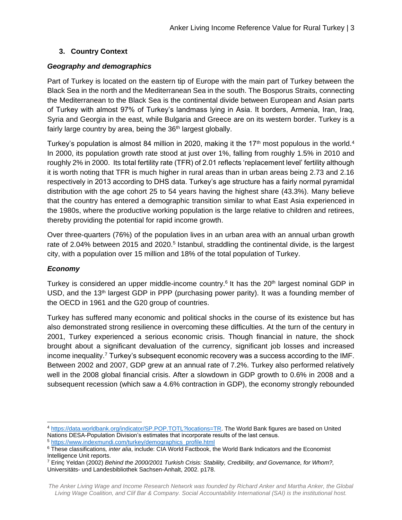#### **3. Country Context**

#### *Geography and demographics*

Part of Turkey is located on the eastern tip of Europe with the main part of Turkey between the Black Sea in the north and the Mediterranean Sea in the south. The Bosporus Straits, connecting the Mediterranean to the Black Sea is the continental divide between European and Asian parts of Turkey with almost 97% of Turkey's landmass lying in Asia. It borders, Armenia, Iran, Iraq, Syria and Georgia in the east, while Bulgaria and Greece are on its western border. Turkey is a fairly large country by area, being the 36<sup>th</sup> largest globally.

Turkey's population is almost 84 million in 2020, making it the 17<sup>th</sup> most populous in the world.<sup>4</sup> In 2000, its population growth rate stood at just over 1%, falling from roughly 1.5% in 2010 and roughly 2% in 2000. Its total fertility rate (TFR) of 2.01 reflects 'replacement level' fertility although it is worth noting that TFR is much higher in rural areas than in urban areas being 2.73 and 2.16 respectively in 2013 according to DHS data. Turkey's age structure has a fairly normal pyramidal distribution with the age cohort 25 to 54 years having the highest share (43.3%). Many believe that the country has entered a demographic transition similar to what East Asia experienced in the 1980s, where the productive working population is the large relative to children and retirees, thereby providing the potential for rapid income growth.

Over three-quarters (76%) of the population lives in an urban area with an annual urban growth rate of 2.04% between 2015 and 2020.<sup>5</sup> Istanbul, straddling the continental divide, is the largest city, with a population over 15 million and 18% of the total population of Turkey.

#### *Economy*

 $\overline{a}$ 

Turkey is considered an upper middle-income country.<sup>6</sup> It has the 20<sup>th</sup> largest nominal GDP in USD, and the 13<sup>th</sup> largest GDP in PPP (purchasing power parity). It was a founding member of the OECD in 1961 and the G20 group of countries.

Turkey has suffered many economic and political shocks in the course of its existence but has also demonstrated strong resilience in overcoming these difficulties. At the turn of the century in 2001, Turkey experienced a serious economic crisis. Though financial in nature, the shock brought about a significant devaluation of the currency, significant job losses and increased income inequality.<sup>7</sup> Turkey's subsequent economic recovery was a success according to the IMF. Between 2002 and 2007, GDP grew at an annual rate of 7.2%. Turkey also performed relatively well in the 2008 global financial crisis. After a slowdown in GDP growth to 0.6% in 2008 and a subsequent recession (which saw a 4.6% contraction in GDP), the economy strongly rebounded

<sup>4</sup> [https://data.worldbank.org/indicator/SP.POP.TOTL?locations=TR.](https://data.worldbank.org/indicator/SP.POP.TOTL?locations=TR) The World Bank figures are based on United Nations DESA-Population Division's estimates that incorporate results of the last census. <sup>5</sup> [https://www.indexmundi.com/turkey/demographics\\_profile.html](https://www.indexmundi.com/turkey/demographics_profile.html)

<sup>6</sup> These classifications*, inter alia*, include: CIA World Factbook, the World Bank Indicators and the Economist Intelligence Unit reports.

<sup>7</sup> Erinç Yeldan (2002) *Behind the 2000/2001 Turkish Crisis: Stability, Credibility, and Governance, for Whom?,*  Universitäts- und Landesbibliothek Sachsen-Anhalt, 2002. p178.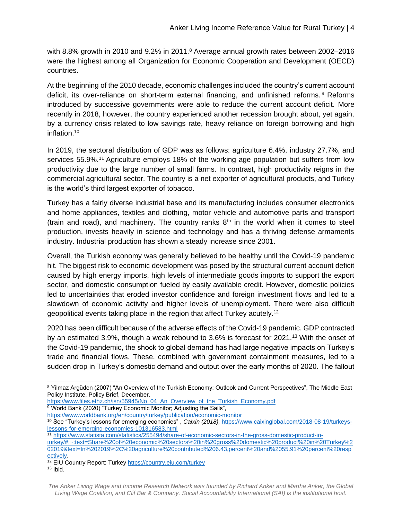with 8.8% growth in 2010 and 9.2% in 2011.<sup>8</sup> Average annual growth rates between 2002–2016 were the highest among all Organization for Economic Cooperation and Development (OECD) countries.

At the beginning of the 2010 decade, economic challenges included the country's current account deficit, its over-reliance on short-term external financing, and unfinished reforms. <sup>9</sup> Reforms introduced by successive governments were able to reduce the current account deficit. More recently in 2018, however, the country experienced another recession brought about, yet again, by a currency crisis related to low savings rate, heavy reliance on foreign borrowing and high inflation.<sup>10</sup>

In 2019, the sectoral distribution of GDP was as follows: agriculture 6.4%, industry 27.7%, and services 55.9%.<sup>11</sup> Agriculture employs 18% of the working age population but suffers from low productivity due to the large number of small farms. In contrast, high productivity reigns in the commercial agricultural sector. The country is a net exporter of agricultural products, and Turkey is the world's third largest exporter of tobacco.

Turkey has a fairly diverse industrial base and its manufacturing includes consumer electronics and home appliances, textiles and clothing, motor vehicle and automotive parts and transport (train and road), and machinery. The country ranks  $8<sup>th</sup>$  in the world when it comes to steel production, invests heavily in science and technology and has a thriving defense armaments industry. Industrial production has shown a steady increase since 2001.

Overall, the Turkish economy was generally believed to be healthy until the Covid-19 pandemic hit. The biggest risk to economic development was posed by the structural current account deficit caused by high energy imports, high levels of intermediate goods imports to support the export sector, and domestic consumption fueled by easily available credit. However, domestic policies led to uncertainties that eroded investor confidence and foreign investment flows and led to a slowdown of economic activity and higher levels of unemployment. There were also difficult geopolitical events taking place in the region that affect Turkey acutely.<sup>12</sup>

2020 has been difficult because of the adverse effects of the Covid-19 pandemic. GDP contracted by an estimated 3.9%, though a weak rebound to 3.6% is forecast for 2021.<sup>13</sup> With the onset of the Covid-19 pandemic, the shock to global demand has had large negative impacts on Turkey's trade and financial flows. These, combined with government containment measures, led to a sudden drop in Turkey's domestic demand and output over the early months of 2020. The fallout

- [https://www.files.ethz.ch/isn/55945/No\\_04\\_An\\_Overview\\_of\\_the\\_Turkish\\_Economy.pdf](https://www.files.ethz.ch/isn/55945/No_04_An_Overview_of_the_Turkish_Economy.pdf) <sup>9</sup> World Bank (2020) "Turkey Economic Monitor; Adjusting the Sails",
- <https://www.worldbank.org/en/country/turkey/publication/economic-monitor>

 8 Yilmaz Argüden (2007) "An Overview of the Turkish Economy: Outlook and Current Perspectives", The Middle East Policy Institute, Policy Brief, December.

<sup>10</sup> See "Turkey's lessons for emerging economies" , *Caixin (2018),* [https://www.caixinglobal.com/2018-08-19/turkeys](https://www.caixinglobal.com/2018-08-19/turkeys-lessons-for-emerging-economies-101316583.html)[lessons-for-emerging-economies-101316583.html](https://www.caixinglobal.com/2018-08-19/turkeys-lessons-for-emerging-economies-101316583.html)

<sup>11</sup> [https://www.statista.com/statistics/255494/share-of-economic-sectors-in-the-gross-domestic-product-in-](https://www.statista.com/statistics/255494/share-of-economic-sectors-in-the-gross-domestic-product-in-turkey/#:~:text=Share%20of%20economic%20sectors%20in%20gross%20domestic%20product%20in%20Turkey%202019&text=In%202019%2C%20agriculture%20contributed%206.43,percent%20and%2055.91%20percent%20respectively)

[turkey/#:~:text=Share%20of%20economic%20sectors%20in%20gross%20domestic%20product%20in%20Turkey%2](https://www.statista.com/statistics/255494/share-of-economic-sectors-in-the-gross-domestic-product-in-turkey/#:~:text=Share%20of%20economic%20sectors%20in%20gross%20domestic%20product%20in%20Turkey%202019&text=In%202019%2C%20agriculture%20contributed%206.43,percent%20and%2055.91%20percent%20respectively) [02019&text=In%202019%2C%20agriculture%20contributed%206.43,percent%20and%2055.91%20percent%20resp](https://www.statista.com/statistics/255494/share-of-economic-sectors-in-the-gross-domestic-product-in-turkey/#:~:text=Share%20of%20economic%20sectors%20in%20gross%20domestic%20product%20in%20Turkey%202019&text=In%202019%2C%20agriculture%20contributed%206.43,percent%20and%2055.91%20percent%20respectively) [ectively.](https://www.statista.com/statistics/255494/share-of-economic-sectors-in-the-gross-domestic-product-in-turkey/#:~:text=Share%20of%20economic%20sectors%20in%20gross%20domestic%20product%20in%20Turkey%202019&text=In%202019%2C%20agriculture%20contributed%206.43,percent%20and%2055.91%20percent%20respectively)

<sup>&</sup>lt;sup>12</sup> EIU Country Report: Turke[y https://country.eiu.com/turkey](https://country.eiu.com/turkey)

 $13$  Ibid.

*The Anker Living Wage and Income Research Network was founded by Richard Anker and Martha Anker, the Global Living Wage Coalition, and Clif Bar & Company. Social Accountability International (SAI) is the institutional host.*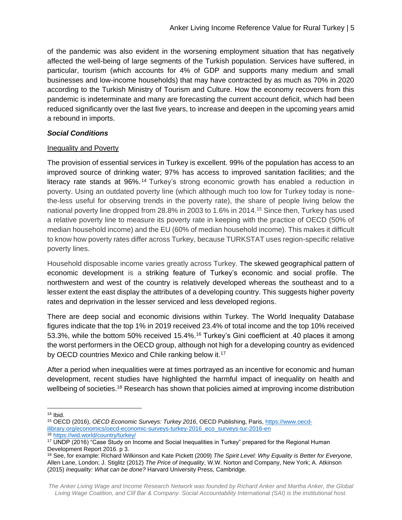of the pandemic was also evident in the worsening employment situation that has negatively affected the well-being of large segments of the Turkish population. Services have suffered, in particular, tourism (which accounts for 4% of GDP and supports many medium and small businesses and low-income households) that may have contracted by as much as 70% in 2020 according to the Turkish Ministry of Tourism and Culture. How the economy recovers from this pandemic is indeterminate and many are forecasting the current account deficit, which had been reduced significantly over the last five years, to increase and deepen in the upcoming years amid a rebound in imports.

#### *Social Conditions*

#### Inequality and Poverty

The provision of essential services in Turkey is excellent. 99% of the population has access to an improved source of drinking water; 97% has access to improved sanitation facilities; and the literacy rate stands at 96%. <sup>14</sup> Turkey's strong economic growth has enabled a reduction in poverty. Using an outdated poverty line (which although much too low for Turkey today is nonethe-less useful for observing trends in the poverty rate), the share of people living below the national poverty line dropped from 28.8% in 2003 to 1.6% in 2014.<sup>15</sup> Since then, Turkey has used a relative poverty line to measure its poverty rate in keeping with the practice of OECD (50% of median household income) and the EU (60% of median household income). This makes it difficult to know how poverty rates differ across Turkey, because TURKSTAT uses region-specific relative poverty lines.

Household disposable income varies greatly across Turkey. The skewed geographical pattern of economic development is a striking feature of Turkey's economic and social profile. The northwestern and west of the country is relatively developed whereas the southeast and to a lesser extent the east display the attributes of a developing country. This suggests higher poverty rates and deprivation in the lesser serviced and less developed regions.

There are deep social and economic divisions within Turkey. The World Inequality Database figures indicate that the top 1% in 2019 received 23.4% of total income and the top 10% received 53.3%, while the bottom 50% received 15.4%.<sup>16</sup> Turkey's Gini coefficient at .40 places it among the worst performers in the OECD group, although not high for a developing country as evidenced by OECD countries Mexico and Chile ranking below it.<sup>17</sup>

After a period when inequalities were at times portrayed as an incentive for economic and human development, recent studies have highlighted the harmful impact of inequality on health and wellbeing of societies.<sup>18</sup> Research has shown that policies aimed at improving income distribution

  $14$  Ibid.

<sup>15</sup> OECD (2016), *OECD Economic Surveys: Turkey 2016*, OECD Publishing, Paris, [https://www.oecd](https://www.oecd-ilibrary.org/economics/oecd-economic-surveys-turkey-2016_eco_surveys-tur-2016-en)[ilibrary.org/economics/oecd-economic-surveys-turkey-2016\\_eco\\_surveys-tur-2016-en](https://www.oecd-ilibrary.org/economics/oecd-economic-surveys-turkey-2016_eco_surveys-tur-2016-en)

<sup>16</sup> <https://wid.world/country/turkey/>

<sup>17</sup> UNDP (2016) "Case Study on Income and Social Inequalities in Turkey" prepared for the Regional Human Development Report 2016. p 3.

<sup>18</sup> See, for example: Richard Wilkinson and Kate Pickett (2009) *The Spirit Level: Why Equality is Better for Everyone*, Allen Lane, London; J. Stiglitz (2012) *The Price of Inequality*, W.W. Norton and Company, New York; A. Atkinson (2015) *Inequality: What can be done?* Harvard University Press, Cambridge.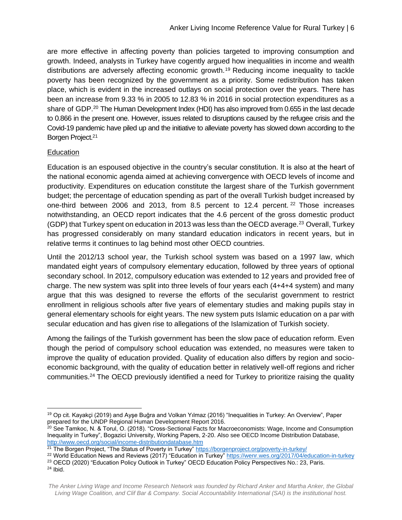are more effective in affecting poverty than policies targeted to improving consumption and growth. Indeed, analysts in Turkey have cogently argued how inequalities in income and wealth distributions are adversely affecting economic growth.<sup>19</sup> Reducing income inequality to tackle poverty has been recognized by the government as a priority. Some redistribution has taken place, which is evident in the increased outlays on social protection over the years. There has been an increase from 9.33 % in 2005 to 12.83 % in 2016 in social protection expenditures as a share of GDP.<sup>20</sup> The Human Development Index (HDI) has also improved from 0.655 in the last decade to 0.866 in the present one. However, issues related to disruptions caused by the refugee crisis and the Covid-19 pandemic have piled up and the initiative to alleviate poverty has slowed down according to the Borgen Project.<sup>21</sup>

#### **Education**

Education is an espoused objective in the country's secular constitution. It is also at the heart of the national economic agenda aimed at achieving convergence with OECD levels of income and productivity. Expenditures on education constitute the largest share of the Turkish government budget; the percentage of education spending as part of the overall Turkish budget increased by one-third between 2006 and 2013, from 8.5 percent to 12.4 percent.  $22$  Those increases notwithstanding, an OECD report indicates that the 4.6 percent of the gross domestic product (GDP) that Turkey spent on education in 2013 was less than the OECD average.<sup>23</sup> Overall, Turkey has progressed considerably on many standard education indicators in recent years, but in relative terms it continues to lag behind most other OECD countries.

Until the 2012/13 school year, the Turkish school system was based on a 1997 law, which mandated eight years of compulsory elementary education, followed by three years of optional secondary school. In 2012, compulsory education was extended to 12 years and provided free of charge. The new system was split into three levels of four years each (4+4+4 system) and many argue that this was designed to reverse the efforts of the secularist government to restrict enrollment in religious schools after five years of elementary studies and making pupils stay in general elementary schools for eight years. The new system puts Islamic education on a par with secular education and has given rise to allegations of the Islamization of Turkish society.

Among the failings of the Turkish government has been the slow pace of education reform. Even though the period of compulsory school education was extended, no measures were taken to improve the quality of education provided. Quality of education also differs by region and socioeconomic background, with the quality of education better in relatively well-off regions and richer communities.<sup>24</sup> The OECD previously identified a need for Turkey to prioritize raising the quality

 <sup>19</sup> Op cit. Kayakçi (2019) and Ayşe Buğra and Volkan Yılmaz (2016) "Inequalities in Turkey: An Overview", Paper prepared for the UNDP Regional Human Development Report 2016.

<sup>&</sup>lt;sup>20</sup> See Tamkoc, N. & Torul, O. (2018). "Cross-Sectional Facts for Macroeconomists: Wage, Income and Consumption Inequality in Turkey", Bogazici University, Working Papers, 2-20. Also see OECD Income Distribution Database, <http://www.oecd.org/social/income-distributiondatabase.htm>

 $21$  The Borgen Project, "The Status of Poverty in Turkey"<https://borgenproject.org/poverty-in-turkey/>

<sup>&</sup>lt;sup>22</sup> World Education News and Reviews (2017) "Education in Turkey"<https://wenr.wes.org/2017/04/education-in-turkey>

<sup>&</sup>lt;sup>23</sup> OECD (2020) "Education Policy Outlook in Turkey" OECD Education Policy Perspectives No.: 23, Paris. <sup>24</sup> Ibid.

*The Anker Living Wage and Income Research Network was founded by Richard Anker and Martha Anker, the Global Living Wage Coalition, and Clif Bar & Company. Social Accountability International (SAI) is the institutional host.*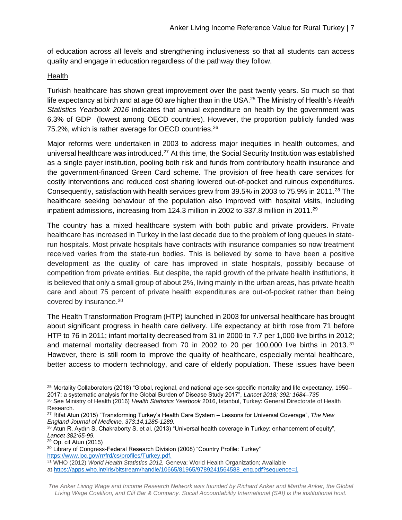of education across all levels and strengthening inclusiveness so that all students can access quality and engage in education regardless of the pathway they follow.

#### Health

Turkish healthcare has shown great improvement over the past twenty years. So much so that life expectancy at birth and at age 60 are higher than in the USA.<sup>25</sup> The Ministry of Health's *Health Statistics Yearbook 2016* indicates that annual expenditure on health by the government was 6.3% of GDP (lowest among OECD countries). However, the proportion publicly funded was 75.2%, which is rather average for OECD countries.<sup>26</sup>

Major reforms were undertaken in 2003 to address major inequities in health outcomes, and universal healthcare was introduced.<sup>27</sup> At this time, the Social Security Institution was established as a single payer institution, pooling both risk and funds from contributory health insurance and the government-financed Green Card scheme. The provision of free health care services for costly interventions and reduced cost sharing lowered out-of-pocket and ruinous expenditures. Consequently, satisfaction with health services grew from 39.5% in 2003 to 75.9% in 2011.<sup>28</sup> The healthcare seeking behaviour of the population also improved with hospital visits, including inpatient admissions, increasing from 124.3 million in 2002 to 337.8 million in 2011.<sup>29</sup>

The country has a mixed healthcare system with both public and private providers. Private healthcare has increased in Turkey in the last decade due to the problem of long queues in staterun hospitals. Most private hospitals have contracts with insurance companies so now treatment received varies from the state-run bodies. This is believed by some to have been a positive development as the quality of care has improved in state hospitals, possibly because of competition from private entities. But despite, the rapid growth of the private health institutions, it is believed that only a small group of about 2%, living mainly in the urban areas, has private health care and about 75 percent of private health expenditures are out-of-pocket rather than being covered by insurance.<sup>30</sup>

The Health Transformation Program (HTP) launched in 2003 for universal healthcare has brought about significant progress in health care delivery. Life expectancy at birth rose from 71 before HTP to 76 in 2011; infant mortality decreased from 31 in 2000 to 7.7 per 1,000 live births in 2012; and maternal mortality decreased from 70 in 2002 to 20 per 100,000 live births in 2013.<sup>31</sup> However, there is still room to improve the quality of healthcare, especially mental healthcare, better access to modern technology, and care of elderly population. These issues have been

<sup>29</sup> Op. cit Atun (2015)

<sup>30</sup> Library of Congress-Federal Research Division (2008) "Country Profile: Turkey" [https://www.loc.gov/rr/frd/cs/profiles/Turkey.pdf.](https://www.loc.gov/rr/frd/cs/profiles/Turkey.pdf)

<sup>31</sup> WHO (2012) *World Health Statistics 2012,* Geneva: World Health Organization; Available

at [https://apps.who.int/iris/bitstream/handle/10665/81965/9789241564588\\_eng.pdf?sequence=1](https://apps.who.int/iris/bitstream/handle/10665/81965/9789241564588_eng.pdf?sequence=1)

<sup>25</sup> Mortality Collaborators (2018) "Global, regional, and national age-sex-specific mortality and life expectancy, 1950– 2017: a systematic analysis for the Global Burden of Disease Study 2017", *Lancet 2018; 392: 1684–735* 

<sup>26</sup> See Ministry of Health (2016) *[Health Statistics Yearbook](https://ohsad.org/wp-content/uploads/2017/12/13160.pdf)* 2016, Istanbul, Turkey: General Directorate of Health Research.

<sup>27</sup> Rifat Atun (2015) "Transforming Turkey's Health Care System – Lessons for Universal Coverage", *The New England Journal of Medicine, 373:14,1285-1289.*

<sup>&</sup>lt;sup>28</sup> Atun R, Aydın S, Chakraborty S, et al. (2013) "Universal health coverage in Turkey: enhancement of equity", *Lancet 382:65-99.*

*The Anker Living Wage and Income Research Network was founded by Richard Anker and Martha Anker, the Global Living Wage Coalition, and Clif Bar & Company. Social Accountability International (SAI) is the institutional host.*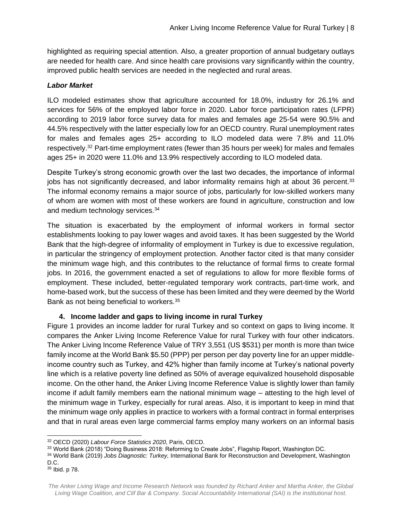highlighted as requiring special attention. Also, a greater proportion of annual budgetary outlays are needed for health care. And since health care provisions vary significantly within the country, improved public health services are needed in the neglected and rural areas.

#### *Labor Market*

ILO modeled estimates show that agriculture accounted for 18.0%, industry for 26.1% and services for 56% of the employed labor force in 2020. Labor force participation rates (LFPR) according to 2019 labor force survey data for males and females age 25-54 were 90.5% and 44.5% respectively with the latter especially low for an OECD country. Rural unemployment rates for males and females ages 25+ according to ILO modeled data were 7.8% and 11.0% respectively.<sup>32</sup> Part-time employment rates (fewer than 35 hours per week) for males and females ages 25+ in 2020 were 11.0% and 13.9% respectively according to ILO modeled data.

Despite Turkey's strong economic growth over the last two decades, the importance of informal jobs has not significantly decreased, and labor informality remains high at about 36 percent.<sup>33</sup> The informal economy remains a major source of jobs, particularly for low-skilled workers many of whom are women with most of these workers are found in agriculture, construction and low and medium technology services.<sup>34</sup>

The situation is exacerbated by the employment of informal workers in formal sector establishments looking to pay lower wages and avoid taxes. It has been suggested by the World Bank that the high-degree of informality of employment in Turkey is due to excessive regulation, in particular the stringency of employment protection. Another factor cited is that many consider the minimum wage high, and this contributes to the reluctance of formal firms to create formal jobs. In 2016, the government enacted a set of regulations to allow for more flexible forms of employment. These included, better-regulated temporary work contracts, part-time work, and home-based work, but the success of these has been limited and they were deemed by the World Bank as not being beneficial to workers.<sup>35</sup>

#### **4. Income ladder and gaps to living income in rural Turkey**

Figure 1 provides an income ladder for rural Turkey and so context on gaps to living income. It compares the Anker Living Income Reference Value for rural Turkey with four other indicators. The Anker Living Income Reference Value of TRY 3,551 (US \$531) per month is more than twice family income at the World Bank \$5.50 (PPP) per person per day poverty line for an upper middleincome country such as Turkey, and 42% higher than family income at Turkey's national poverty line which is a relative poverty line defined as 50% of average equivalized household disposable income. On the other hand, the Anker Living Income Reference Value is slightly lower than family income if adult family members earn the national minimum wage – attesting to the high level of the minimum wage in Turkey, especially for rural areas. Also, it is important to keep in mind that the minimum wage only applies in practice to workers with a formal contract in formal enterprises and that in rural areas even large commercial farms employ many workers on an informal basis

 <sup>32</sup> OECD (2020) *Labour Force Statistics 2020*, Paris, OECD.

<sup>33</sup> World Bank (2018) "Doing Business 2018: Reforming to Create Jobs", Flagship Report, Washington DC.

<sup>34</sup> World Bank (2019) *Jobs Diagnostic: Turkey,* International Bank for Reconstruction and Development, Washington D.C.

<sup>35</sup> Ibid. p 78.

*The Anker Living Wage and Income Research Network was founded by Richard Anker and Martha Anker, the Global Living Wage Coalition, and Clif Bar & Company. Social Accountability International (SAI) is the institutional host.*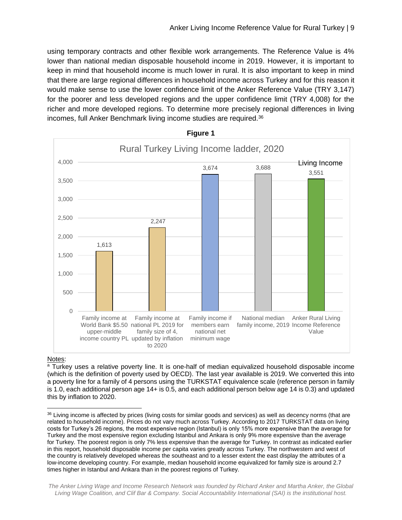using temporary contracts and other flexible work arrangements. The Reference Value is 4% lower than national median disposable household income in 2019. However, it is important to keep in mind that household income is much lower in rural. It is also important to keep in mind that there are large regional differences in household income across Turkey and for this reason it would make sense to use the lower confidence limit of the Anker Reference Value (TRY 3,147) for the poorer and less developed regions and the upper confidence limit (TRY 4,008) for the richer and more developed regions. To determine more precisely regional differences in living incomes, full Anker Benchmark living income studies are required.<sup>36</sup>



**Figure 1**

#### Notes:

<sup>a</sup> Turkey uses a relative poverty line. It is one-half of median equivalized household disposable income (which is the definition of poverty used by OECD). The last year available is 2019. We converted this into a poverty line for a family of 4 persons using the TURKSTAT equivalence scale (reference person in family is 1.0, each additional person age 14+ is 0.5, and each additional person below age 14 is 0.3) and updated this by inflation to 2020.

*The Anker Living Wage and Income Research Network was founded by Richard Anker and Martha Anker, the Global Living Wage Coalition, and Clif Bar & Company. Social Accountability International (SAI) is the institutional host.*

<sup>36</sup> Living income is affected by prices (living costs for similar goods and services) as well as decency norms (that are related to household income). Prices do not vary much across Turkey. According to 2017 TURKSTAT data on living costs for Turkey's 26 regions, the most expensive region (Istanbul) is only 15% more expensive than the average for Turkey and the most expensive region excluding Istanbul and Ankara is only 9% more expensive than the average for Turkey. The poorest region is only 7% less expensive than the average for Turkey. In contrast as indicated earlier in this report, household disposable income per capita varies greatly across Turkey. The northwestern and west of the country is relatively developed whereas the southeast and to a lesser extent the east display the attributes of a low-income developing country. For example, median household income equivalized for family size is around 2.7 times higher in Istanbul and Ankara than in the poorest regions of Turkey.